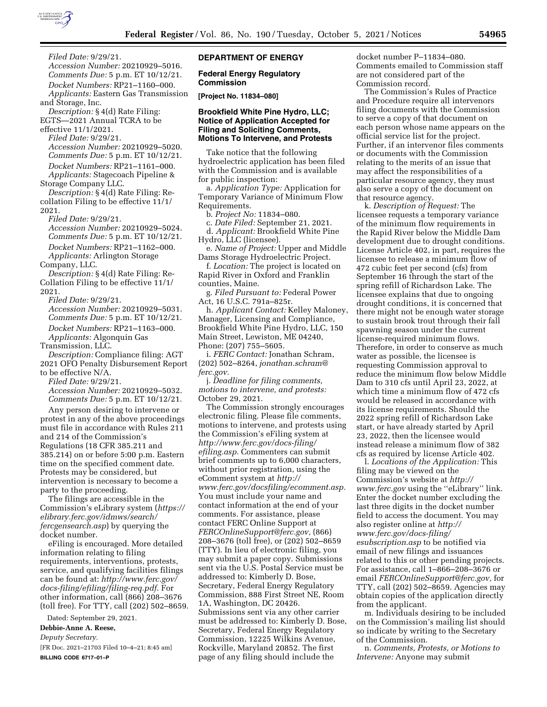

*Filed Date:* 9/29/21. *Accession Number:* 20210929–5016. *Comments Due:* 5 p.m. ET 10/12/21. *Docket Numbers:* RP21–1160–000. *Applicants:* Eastern Gas Transmission and Storage, Inc. *Description:* § 4(d) Rate Filing: EGTS—2021 Annual TCRA to be effective 11/1/2021. *Filed Date:* 9/29/21. *Accession Number:* 20210929–5020. *Comments Due:* 5 p.m. ET 10/12/21. *Docket Numbers:* RP21–1161–000. *Applicants:* Stagecoach Pipeline & Storage Company LLC. *Description:* § 4(d) Rate Filing: Recollation Filing to be effective 11/1/ 2021. *Filed Date:* 9/29/21. *Accession Number:* 20210929–5024. *Comments Due:* 5 p.m. ET 10/12/21. *Docket Numbers:* RP21–1162–000. *Applicants:* Arlington Storage Company, LLC. *Description:* § 4(d) Rate Filing: Re-Collation Filing to be effective 11/1/ 2021. *Filed Date:* 9/29/21. *Accession Number:* 20210929–5031. *Comments Due:* 5 p.m. ET 10/12/21. *Docket Numbers:* RP21–1163–000. *Applicants:* Algonquin Gas Transmission, LLC. *Description:* Compliance filing: AGT 2021 OFO Penalty Disbursement Report to be effective N/A. *Filed Date:* 9/29/21. *Accession Number:* 20210929–5032. *Comments Due:* 5 p.m. ET 10/12/21. Any person desiring to intervene or protest in any of the above proceedings must file in accordance with Rules 211 and 214 of the Commission's Regulations (18 CFR 385.211 and 385.214) on or before 5:00 p.m. Eastern time on the specified comment date. Protests may be considered, but intervention is necessary to become a party to the proceeding.

The filings are accessible in the Commission's eLibrary system (*[https://](https://elibrary.ferc.gov/idmws/search/fercgensearch.asp) [elibrary.ferc.gov/idmws/search/](https://elibrary.ferc.gov/idmws/search/fercgensearch.asp) [fercgensearch.asp](https://elibrary.ferc.gov/idmws/search/fercgensearch.asp)*) by querying the docket number.

eFiling is encouraged. More detailed information relating to filing requirements, interventions, protests, service, and qualifying facilities filings can be found at: *[http://www.ferc.gov/](http://www.ferc.gov/docs-filing/efiling/filing-req.pdf)  [docs-filing/efiling/filing-req.pdf](http://www.ferc.gov/docs-filing/efiling/filing-req.pdf)*. For other information, call (866) 208–3676 (toll free). For TTY, call (202) 502–8659.

Dated: September 29, 2021.

**Debbie-Anne A. Reese,** 

*Deputy Secretary.* 

[FR Doc. 2021–21703 Filed 10–4–21; 8:45 am] **BILLING CODE 6717–01–P** 

# **DEPARTMENT OF ENERGY**

#### **Federal Energy Regulatory Commission**

**[Project No. 11834–080]** 

# **Brookfield White Pine Hydro, LLC; Notice of Application Accepted for Filing and Soliciting Comments, Motions To Intervene, and Protests**

Take notice that the following hydroelectric application has been filed with the Commission and is available for public inspection:

a. *Application Type:* Application for Temporary Variance of Minimum Flow Requirements.

b. *Project No:* 11834–080.

c. *Date Filed:* September 21, 2021. d. *Applicant:* Brookfield White Pine

Hydro, LLC (licensee).

e. *Name of Project:* Upper and Middle Dams Storage Hydroelectric Project.

f. *Location:* The project is located on Rapid River in Oxford and Franklin counties, Maine.

g. *Filed Pursuant to:* Federal Power Act, 16 U.S.C. 791a–825r.

h. *Applicant Contact:* Kelley Maloney, Manager, Licensing and Compliance, Brookfield White Pine Hydro, LLC, 150 Main Street, Lewiston, ME 04240, Phone: (207) 755–5605.

i. *FERC Contact:* Jonathan Schram, (202) 502–8264, *[jonathan.schram@](mailto:jonathan.schram@ferc.gov) [ferc.gov.](mailto:jonathan.schram@ferc.gov)* 

j. *Deadline for filing comments, motions to intervene, and protests:*  October 29, 2021.

The Commission strongly encourages electronic filing. Please file comments, motions to intervene, and protests using the Commission's eFiling system at *[http://www.ferc.gov/docs-filing/](http://www.ferc.gov/docs-filing/efiling.asp) [efiling.asp.](http://www.ferc.gov/docs-filing/efiling.asp)* Commenters can submit brief comments up to 6,000 characters, without prior registration, using the eComment system at *[http://](http://www.ferc.gov/docsfiling/ecomment.asp) [www.ferc.gov/docsfiling/ecomment.asp.](http://www.ferc.gov/docsfiling/ecomment.asp)*  You must include your name and contact information at the end of your comments. For assistance, please contact FERC Online Support at *[FERCOnlineSupport@ferc.gov,](mailto:FERCOnlineSupport@ferc.gov)* (866) 208–3676 (toll free), or (202) 502–8659 (TTY). In lieu of electronic filing, you may submit a paper copy. Submissions sent via the U.S. Postal Service must be addressed to: Kimberly D. Bose, Secretary, Federal Energy Regulatory Commission, 888 First Street NE, Room 1A, Washington, DC 20426. Submissions sent via any other carrier must be addressed to: Kimberly D. Bose, Secretary, Federal Energy Regulatory Commission, 12225 Wilkins Avenue, Rockville, Maryland 20852. The first page of any filing should include the

docket number P–11834–080. Comments emailed to Commission staff are not considered part of the Commission record.

The Commission's Rules of Practice and Procedure require all intervenors filing documents with the Commission to serve a copy of that document on each person whose name appears on the official service list for the project. Further, if an intervenor files comments or documents with the Commission relating to the merits of an issue that may affect the responsibilities of a particular resource agency, they must also serve a copy of the document on that resource agency.

k. *Description of Request:* The licensee requests a temporary variance of the minimum flow requirements in the Rapid River below the Middle Dam development due to drought conditions. License Article 402, in part, requires the licensee to release a minimum flow of 472 cubic feet per second (cfs) from September 16 through the start of the spring refill of Richardson Lake. The licensee explains that due to ongoing drought conditions, it is concerned that there might not be enough water storage to sustain brook trout through their fall spawning season under the current license-required minimum flows. Therefore, in order to conserve as much water as possible, the licensee is requesting Commission approval to reduce the minimum flow below Middle Dam to 310 cfs until April 23, 2022, at which time a minimum flow of 472 cfs would be released in accordance with its license requirements. Should the 2022 spring refill of Richardson Lake start, or have already started by April 23, 2022, then the licensee would instead release a minimum flow of 382 cfs as required by license Article 402.

l. *Locations of the Application:* This filing may be viewed on the Commission's website at *[http://](http://www.ferc.gov) [www.ferc.gov](http://www.ferc.gov)* using the ''eLibrary'' link. Enter the docket number excluding the last three digits in the docket number field to access the document. You may also register online at *[http://](http://www.ferc.gov/docs-filing/esubscription.asp) [www.ferc.gov/docs-filing/](http://www.ferc.gov/docs-filing/esubscription.asp)  [esubscription.asp](http://www.ferc.gov/docs-filing/esubscription.asp)* to be notified via email of new filings and issuances related to this or other pending projects. For assistance, call 1–866–208–3676 or email *[FERCOnlineSupport@ferc.gov,](mailto:FERCOnlineSupport@ferc.gov)* for TTY, call (202) 502–8659. Agencies may obtain copies of the application directly from the applicant.

m. Individuals desiring to be included on the Commission's mailing list should so indicate by writing to the Secretary of the Commission.

n. *Comments, Protests, or Motions to Intervene:* Anyone may submit